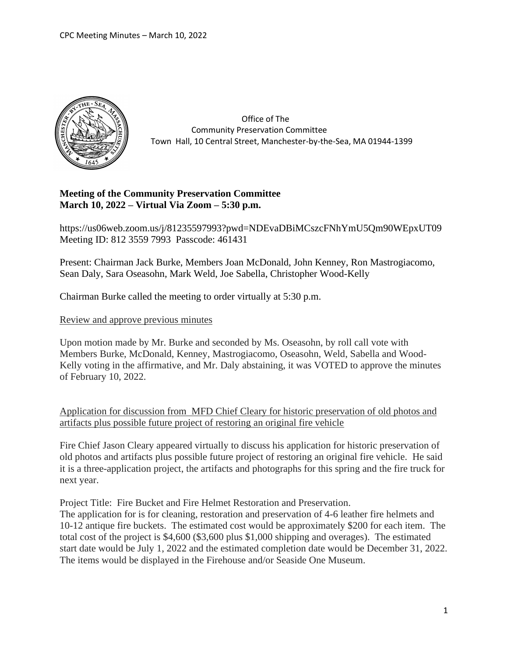

 Office of The Community Preservation Committee Town Hall, 10 Central Street, Manchester-by-the-Sea, MA 01944-1399

# **Meeting of the Community Preservation Committee March 10, 2022 – Virtual Via Zoom – 5:30 p.m.**

https://us06web.zoom.us/j/81235597993?pwd=NDEvaDBiMCszcFNhYmU5Qm90WEpxUT09 Meeting ID: 812 3559 7993 Passcode: 461431

Present: Chairman Jack Burke, Members Joan McDonald, John Kenney, Ron Mastrogiacomo, Sean Daly, Sara Oseasohn, Mark Weld, Joe Sabella, Christopher Wood-Kelly

Chairman Burke called the meeting to order virtually at 5:30 p.m.

Review and approve previous minutes

Upon motion made by Mr. Burke and seconded by Ms. Oseasohn, by roll call vote with Members Burke, McDonald, Kenney, Mastrogiacomo, Oseasohn, Weld, Sabella and Wood-Kelly voting in the affirmative, and Mr. Daly abstaining, it was VOTED to approve the minutes of February 10, 2022.

Application for discussion from MFD Chief Cleary for historic preservation of old photos and artifacts plus possible future project of restoring an original fire vehicle

Fire Chief Jason Cleary appeared virtually to discuss his application for historic preservation of old photos and artifacts plus possible future project of restoring an original fire vehicle. He said it is a three-application project, the artifacts and photographs for this spring and the fire truck for next year.

Project Title: Fire Bucket and Fire Helmet Restoration and Preservation.

The application for is for cleaning, restoration and preservation of 4-6 leather fire helmets and 10-12 antique fire buckets. The estimated cost would be approximately \$200 for each item. The total cost of the project is \$4,600 (\$3,600 plus \$1,000 shipping and overages). The estimated start date would be July 1, 2022 and the estimated completion date would be December 31, 2022. The items would be displayed in the Firehouse and/or Seaside One Museum.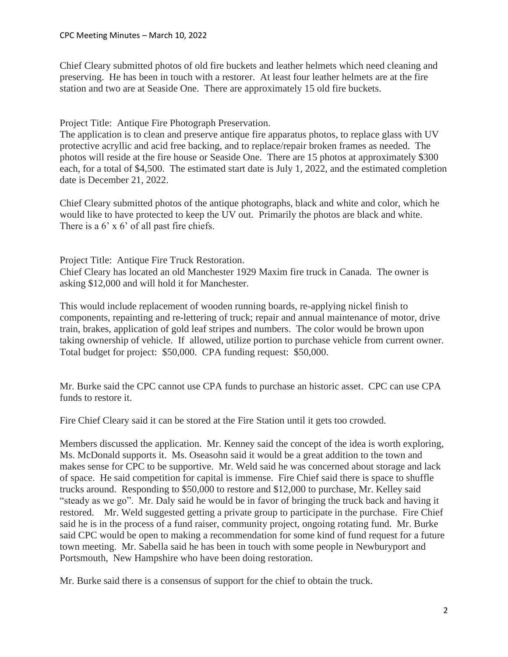Chief Cleary submitted photos of old fire buckets and leather helmets which need cleaning and preserving. He has been in touch with a restorer. At least four leather helmets are at the fire station and two are at Seaside One. There are approximately 15 old fire buckets.

Project Title: Antique Fire Photograph Preservation.

The application is to clean and preserve antique fire apparatus photos, to replace glass with UV protective acryllic and acid free backing, and to replace/repair broken frames as needed. The photos will reside at the fire house or Seaside One. There are 15 photos at approximately \$300 each, for a total of \$4,500. The estimated start date is July 1, 2022, and the estimated completion date is December 21, 2022.

Chief Cleary submitted photos of the antique photographs, black and white and color, which he would like to have protected to keep the UV out. Primarily the photos are black and white. There is a 6' x 6' of all past fire chiefs.

Project Title: Antique Fire Truck Restoration. Chief Cleary has located an old Manchester 1929 Maxim fire truck in Canada. The owner is asking \$12,000 and will hold it for Manchester.

This would include replacement of wooden running boards, re-applying nickel finish to components, repainting and re-lettering of truck; repair and annual maintenance of motor, drive train, brakes, application of gold leaf stripes and numbers. The color would be brown upon taking ownership of vehicle. If allowed, utilize portion to purchase vehicle from current owner. Total budget for project: \$50,000. CPA funding request: \$50,000.

Mr. Burke said the CPC cannot use CPA funds to purchase an historic asset. CPC can use CPA funds to restore it.

Fire Chief Cleary said it can be stored at the Fire Station until it gets too crowded.

Members discussed the application. Mr. Kenney said the concept of the idea is worth exploring, Ms. McDonald supports it. Ms. Oseasohn said it would be a great addition to the town and makes sense for CPC to be supportive. Mr. Weld said he was concerned about storage and lack of space. He said competition for capital is immense. Fire Chief said there is space to shuffle trucks around. Responding to \$50,000 to restore and \$12,000 to purchase, Mr. Kelley said "steady as we go". Mr. Daly said he would be in favor of bringing the truck back and having it restored. Mr. Weld suggested getting a private group to participate in the purchase. Fire Chief said he is in the process of a fund raiser, community project, ongoing rotating fund. Mr. Burke said CPC would be open to making a recommendation for some kind of fund request for a future town meeting. Mr. Sabella said he has been in touch with some people in Newburyport and Portsmouth, New Hampshire who have been doing restoration.

Mr. Burke said there is a consensus of support for the chief to obtain the truck.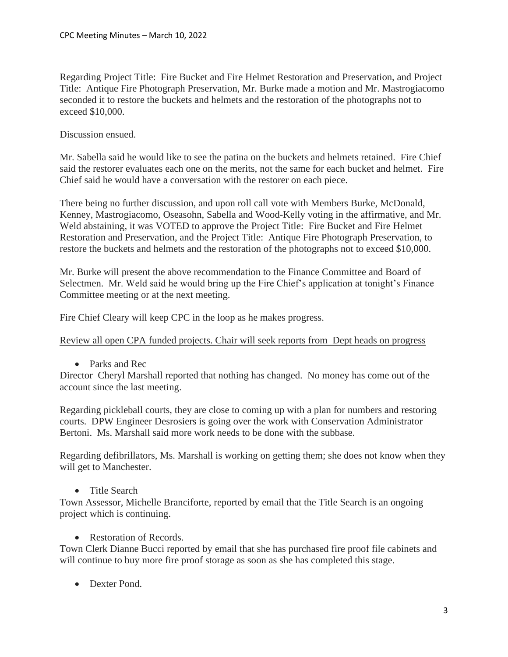Regarding Project Title: Fire Bucket and Fire Helmet Restoration and Preservation, and Project Title: Antique Fire Photograph Preservation, Mr. Burke made a motion and Mr. Mastrogiacomo seconded it to restore the buckets and helmets and the restoration of the photographs not to exceed \$10,000.

## Discussion ensued.

Mr. Sabella said he would like to see the patina on the buckets and helmets retained. Fire Chief said the restorer evaluates each one on the merits, not the same for each bucket and helmet. Fire Chief said he would have a conversation with the restorer on each piece.

There being no further discussion, and upon roll call vote with Members Burke, McDonald, Kenney, Mastrogiacomo, Oseasohn, Sabella and Wood-Kelly voting in the affirmative, and Mr. Weld abstaining, it was VOTED to approve the Project Title: Fire Bucket and Fire Helmet Restoration and Preservation, and the Project Title: Antique Fire Photograph Preservation, to restore the buckets and helmets and the restoration of the photographs not to exceed \$10,000.

Mr. Burke will present the above recommendation to the Finance Committee and Board of Selectmen. Mr. Weld said he would bring up the Fire Chief's application at tonight's Finance Committee meeting or at the next meeting.

Fire Chief Cleary will keep CPC in the loop as he makes progress.

Review all open CPA funded projects. Chair will seek reports from Dept heads on progress

• Parks and Rec

Director Cheryl Marshall reported that nothing has changed. No money has come out of the account since the last meeting.

Regarding pickleball courts, they are close to coming up with a plan for numbers and restoring courts. DPW Engineer Desrosiers is going over the work with Conservation Administrator Bertoni. Ms. Marshall said more work needs to be done with the subbase.

Regarding defibrillators, Ms. Marshall is working on getting them; she does not know when they will get to Manchester.

• Title Search

Town Assessor, Michelle Branciforte, reported by email that the Title Search is an ongoing project which is continuing.

• Restoration of Records.

Town Clerk Dianne Bucci reported by email that she has purchased fire proof file cabinets and will continue to buy more fire proof storage as soon as she has completed this stage.

• Dexter Pond.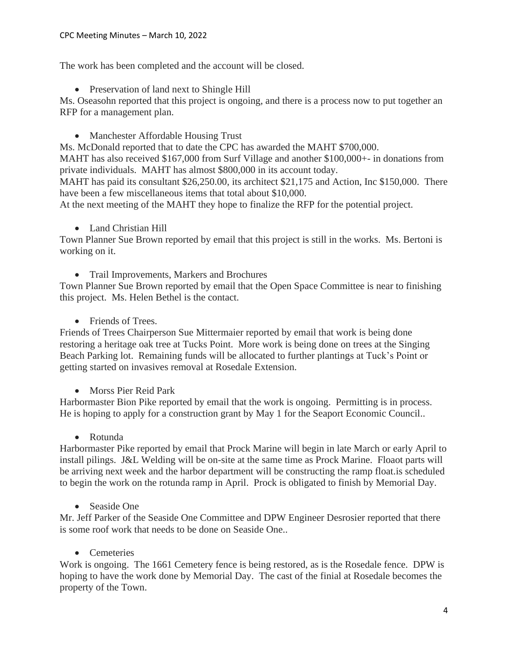#### CPC Meeting Minutes – March 10, 2022

The work has been completed and the account will be closed.

• Preservation of land next to Shingle Hill

Ms. Oseasohn reported that this project is ongoing, and there is a process now to put together an RFP for a management plan.

• Manchester Affordable Housing Trust

Ms. McDonald reported that to date the CPC has awarded the MAHT \$700,000. MAHT has also received \$167,000 from Surf Village and another \$100,000+- in donations from

private individuals. MAHT has almost \$800,000 in its account today.

MAHT has paid its consultant \$26,250.00, its architect \$21,175 and Action, Inc \$150,000. There have been a few miscellaneous items that total about \$10,000.

At the next meeting of the MAHT they hope to finalize the RFP for the potential project.

• Land Christian Hill

Town Planner Sue Brown reported by email that this project is still in the works. Ms. Bertoni is working on it.

• Trail Improvements, Markers and Brochures

Town Planner Sue Brown reported by email that the Open Space Committee is near to finishing this project. Ms. Helen Bethel is the contact.

• Friends of Trees.

Friends of Trees Chairperson Sue Mittermaier reported by email that work is being done restoring a heritage oak tree at Tucks Point. More work is being done on trees at the Singing Beach Parking lot. Remaining funds will be allocated to further plantings at Tuck's Point or getting started on invasives removal at Rosedale Extension.

• Morss Pier Reid Park

Harbormaster Bion Pike reported by email that the work is ongoing. Permitting is in process. He is hoping to apply for a construction grant by May 1 for the Seaport Economic Council..

• Rotunda

Harbormaster Pike reported by email that Prock Marine will begin in late March or early April to install pilings. J&L Welding will be on-site at the same time as Prock Marine. Floaot parts will be arriving next week and the harbor department will be constructing the ramp float.is scheduled to begin the work on the rotunda ramp in April. Prock is obligated to finish by Memorial Day.

• Seaside One

Mr. Jeff Parker of the Seaside One Committee and DPW Engineer Desrosier reported that there is some roof work that needs to be done on Seaside One..

• Cemeteries

Work is ongoing. The 1661 Cemetery fence is being restored, as is the Rosedale fence. DPW is hoping to have the work done by Memorial Day. The cast of the finial at Rosedale becomes the property of the Town.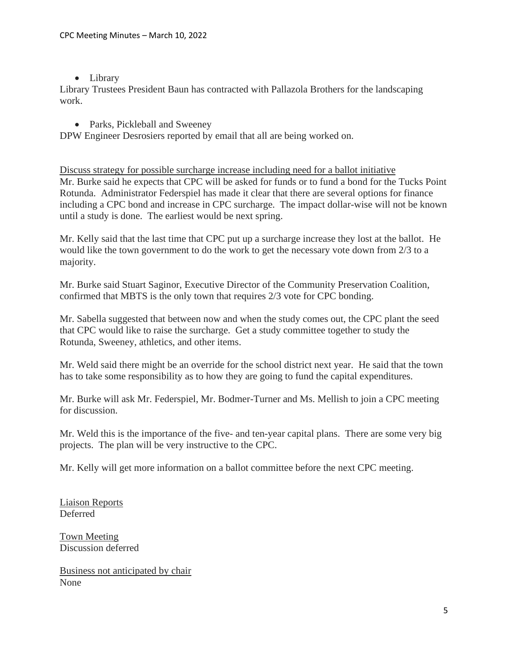## • Library

Library Trustees President Baun has contracted with Pallazola Brothers for the landscaping work.

## • Parks, Pickleball and Sweeney

DPW Engineer Desrosiers reported by email that all are being worked on.

Discuss strategy for possible surcharge increase including need for a ballot initiative Mr. Burke said he expects that CPC will be asked for funds or to fund a bond for the Tucks Point Rotunda. Administrator Federspiel has made it clear that there are several options for finance including a CPC bond and increase in CPC surcharge. The impact dollar-wise will not be known until a study is done. The earliest would be next spring.

Mr. Kelly said that the last time that CPC put up a surcharge increase they lost at the ballot. He would like the town government to do the work to get the necessary vote down from 2/3 to a majority.

Mr. Burke said Stuart Saginor, Executive Director of the Community Preservation Coalition, confirmed that MBTS is the only town that requires 2/3 vote for CPC bonding.

Mr. Sabella suggested that between now and when the study comes out, the CPC plant the seed that CPC would like to raise the surcharge. Get a study committee together to study the Rotunda, Sweeney, athletics, and other items.

Mr. Weld said there might be an override for the school district next year. He said that the town has to take some responsibility as to how they are going to fund the capital expenditures.

Mr. Burke will ask Mr. Federspiel, Mr. Bodmer-Turner and Ms. Mellish to join a CPC meeting for discussion.

Mr. Weld this is the importance of the five- and ten-year capital plans. There are some very big projects. The plan will be very instructive to the CPC.

Mr. Kelly will get more information on a ballot committee before the next CPC meeting.

Liaison Reports Deferred

Town Meeting Discussion deferred

Business not anticipated by chair None